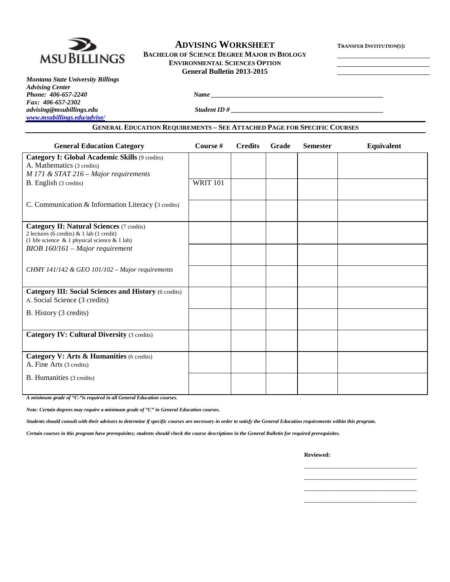

### **ADVISING WORKSHEET TRANSFER INSTITUTION(S): BACHELOR OF SCIENCE DEGREE MAJOR IN BIOLOGY ENVIRONMENTAL SCIENCES OPTION General Bulletin 2013-2015**

*Montana State University Billings Advising Center Phone: 406-657-2240 Name \_\_\_\_\_\_\_\_\_\_\_\_\_\_\_\_\_\_\_\_\_\_\_\_\_\_\_\_\_\_\_\_\_\_\_\_\_\_\_\_\_\_\_\_\_\_\_\_\_\_\_\_ Fax: 406-657-2302 [www.msubillings.edu/advise/](http://www.msubillings.edu/advise/)*

*advising@msubillings.edu Student ID # \_\_\_\_\_\_\_\_\_\_\_\_\_\_\_\_\_\_\_\_\_\_\_\_\_\_\_\_\_\_\_\_\_\_\_\_\_\_\_\_\_\_\_\_\_\_*

#### **GENERAL EDUCATION REQUIREMENTS – SEE ATTACHED PAGE FOR SPECIFIC COURSES**

| <b>General Education Category</b>                                                                                                                    | Course #        | <b>Credits</b> | Grade | <b>Semester</b> | Equivalent |
|------------------------------------------------------------------------------------------------------------------------------------------------------|-----------------|----------------|-------|-----------------|------------|
| Category I: Global Academic Skills (9 credits)<br>A. Mathematics (3 credits)<br>$M$ 171 & STAT 216 – Major requirements                              |                 |                |       |                 |            |
| B. English (3 credits)                                                                                                                               | <b>WRIT 101</b> |                |       |                 |            |
| C. Communication & Information Literacy (3 credits)                                                                                                  |                 |                |       |                 |            |
| <b>Category II: Natural Sciences (7 credits)</b><br>2 lectures (6 credits) & 1 lab (1 credit)<br>(1 life science $\&$ 1 physical science $\&$ 1 lab) |                 |                |       |                 |            |
| $BIOB$ 160/161 – Major requirement                                                                                                                   |                 |                |       |                 |            |
| CHMY 141/142 & GEO 101/102 – Major requirements                                                                                                      |                 |                |       |                 |            |
| <b>Category III: Social Sciences and History (6 credits)</b><br>A. Social Science (3 credits)                                                        |                 |                |       |                 |            |
| B. History (3 credits)                                                                                                                               |                 |                |       |                 |            |
| <b>Category IV: Cultural Diversity (3 credits)</b>                                                                                                   |                 |                |       |                 |            |
| Category V: Arts & Humanities (6 credits)<br>A. Fine Arts (3 credits)                                                                                |                 |                |       |                 |            |
| B. Humanities (3 credits)                                                                                                                            |                 |                |       |                 |            |

*A minimum grade of "C-"is required in all General Education courses.* 

*Note: Certain degrees may require a minimum grade of "C" in General Education courses.* 

*Students should consult with their advisors to determine if specific courses are necessary in order to satisfy the General Education requirements within this program.*

*Certain courses in this program have prerequisites; students should check the course descriptions in the General Bulletin for required prerequisites.*

**Reviewed:**

\_\_\_\_\_\_\_\_\_\_\_\_\_\_\_\_\_\_\_\_\_\_\_\_\_\_\_\_\_\_\_\_\_\_ \_\_\_\_\_\_\_\_\_\_\_\_\_\_\_\_\_\_\_\_\_\_\_\_\_\_\_\_\_\_\_\_\_\_ \_\_\_\_\_\_\_\_\_\_\_\_\_\_\_\_\_\_\_\_\_\_\_\_\_\_\_\_\_\_\_\_\_\_ \_\_\_\_\_\_\_\_\_\_\_\_\_\_\_\_\_\_\_\_\_\_\_\_\_\_\_\_\_\_\_\_\_\_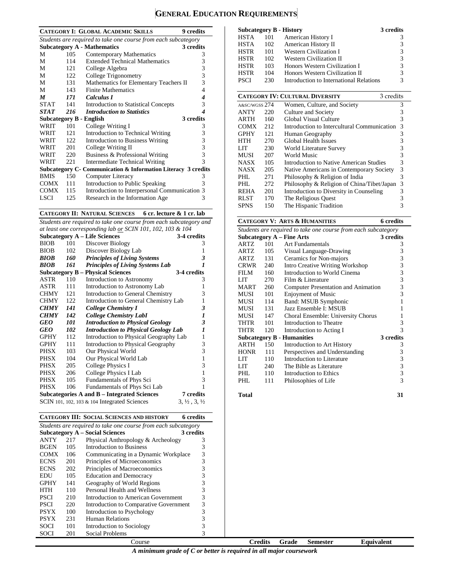# **GENERAL EDUCATION REQUIREMENTS**

|             |      | <b>CATEGORY I: GLOBAL ACADEMIC SKILLS</b><br><b>9</b> credits  |              |
|-------------|------|----------------------------------------------------------------|--------------|
|             |      | Students are required to take one course from each subcategory |              |
|             |      | 3 credits<br><b>Subcategory A - Mathematics</b>                |              |
| М           | 105  | Contemporary Mathematics                                       | 3            |
| М           | 114  | <b>Extended Technical Mathematics</b>                          | 3            |
| М           | 121  | College Algebra                                                | 3            |
| М           | 122  | College Trigonometry                                           | 3            |
| М           | 131  | Mathematics for Elementary Teachers II                         | 3            |
| М           | 143  | <b>Finite Mathematics</b>                                      | 4            |
| M           | 171  | Calculus I                                                     | 4            |
| <b>STAT</b> | 141  | <b>Introduction to Statistical Concepts</b>                    | 3            |
| <b>STAT</b> | 216  | <b>Introduction to Statistics</b>                              | 4            |
|             |      | 3 credits<br><b>Subcategory B - English</b>                    |              |
| <b>WRIT</b> | 101  | College Writing I                                              | 3            |
| WRIT        | 121  | Introduction to Technical Writing                              | 3            |
| WRIT        | 122  | <b>Introduction to Business Writing</b>                        | 3            |
| WRIT        | 201  | College Writing II                                             | 3            |
| WRIT        | 220  | Business & Professional Writing                                | 3            |
| WRIT        | 22.1 | <b>Intermediate Technical Writing</b>                          | $\mathbf{3}$ |
|             |      | Subcategory C- Communication & Information Literacy 3 credits  |              |
| <b>BMIS</b> | 150  | Computer Literacy                                              | 3            |
| <b>COMX</b> | 111  | Introduction to Public Speaking                                | 3            |
| <b>COMX</b> | 115  | Introduction to Interpersonal Communication 3                  |              |
| LSCI        | 125  | Research in the Information Age                                | 3            |

**CATEGORY II: NATURAL SCIENCES 6 cr. lecture & 1 cr. lab**

*Students are required to take one course from each subcategory and at least one corresponding lab or SCIN 101, 102, 103 & 104*

|             |     | <b>Subcategory A – Life Sciences</b>         | 3-4 credits                      |
|-------------|-----|----------------------------------------------|----------------------------------|
| <b>BIOB</b> | 101 | Discover Biology                             | 3                                |
| <b>BIOB</b> | 102 | Discover Biology Lab                         | 1                                |
| <b>BIOB</b> | 160 | <b>Principles of Living Systems</b>          | 3                                |
| <b>BIOB</b> | 161 | <b>Principles of Living Systems Lab</b>      | 1                                |
|             |     | <b>Subcategory B – Physical Sciences</b>     | 3-4 credits                      |
| ASTR        | 110 | Introduction to Astronomy                    | 3                                |
| ASTR        | 111 | Introduction to Astronomy Lab                | 1                                |
| <b>CHMY</b> | 121 | Introduction to General Chemistry            | 3                                |
| <b>CHMY</b> | 122 | Introduction to General Chemistry Lab        | $\mathbf{1}$                     |
| <b>CHMY</b> | 141 | College Chemistry I                          | 3                                |
| <b>CHMY</b> | 142 | <b>College Chemistry LabI</b>                | 1                                |
| GEO         | 101 | <b>Introduction to Physical Geology</b>      | 3                                |
| GEO         | 102 | <b>Introduction to Physical Geology Lab</b>  | 1                                |
| <b>GPHY</b> | 112 | Introduction to Physical Geography Lab       | $\mathbf{1}$                     |
| <b>GPHY</b> | 111 | Introduction to Physical Geography           | 3                                |
| <b>PHSX</b> | 103 | Our Physical World                           | 3                                |
| PHSX        | 104 | Our Physical World Lab                       | $\mathbf{1}$                     |
| PHSX        | 205 | College Physics I                            | 3                                |
| <b>PHSX</b> | 206 | College Physics I Lab                        | $\mathbf{1}$                     |
| PHSX        | 105 | Fundamentals of Phys Sci                     | 3                                |
| <b>PHSX</b> | 106 | Fundamentals of Phys Sci Lab                 | 1                                |
|             |     | Subcategories A and B – Integrated Sciences  | 7 credits                        |
|             |     | SCIN 101, 102, 103 & 104 Integrated Sciences | $3, \frac{1}{2}, 3, \frac{1}{2}$ |

|             |                                                                | <b>CATEGORY III: SOCIAL SCIENCES AND HISTORY</b> | 6 credits |  |  |  |
|-------------|----------------------------------------------------------------|--------------------------------------------------|-----------|--|--|--|
|             | Students are required to take one course from each subcategory |                                                  |           |  |  |  |
|             |                                                                | <b>Subcategory A – Social Sciences</b>           | 3 credits |  |  |  |
| <b>ANTY</b> | 217                                                            | Physical Anthropology & Archeology               | 3         |  |  |  |
| <b>BGEN</b> | 105                                                            | Introduction to Business                         | 3         |  |  |  |
| <b>COMX</b> | 106                                                            | Communicating in a Dynamic Workplace             | 3         |  |  |  |
| <b>ECNS</b> | 201                                                            | Principles of Microeconomics                     | 3         |  |  |  |
| <b>ECNS</b> | 202                                                            | Principles of Macroeconomics                     | 3         |  |  |  |
| EDU         | 105                                                            | <b>Education and Democracy</b>                   | 3         |  |  |  |
| <b>GPHY</b> | 141                                                            | Geography of World Regions                       | 3         |  |  |  |
| HTH         | 110                                                            | Personal Health and Wellness                     | 3         |  |  |  |
| <b>PSCI</b> | 210                                                            | Introduction to American Government              | 3         |  |  |  |
| PSCI        | 220                                                            | Introduction to Comparative Government           | 3         |  |  |  |
| PSYX        | 100                                                            | Introduction to Psychology                       | 3         |  |  |  |
| <b>PSYX</b> | 231                                                            | Human Relations                                  | 3         |  |  |  |
| SOCI        | 101                                                            | Introduction to Sociology                        | 3         |  |  |  |
| SOCI        | 201                                                            | <b>Social Problems</b>                           |           |  |  |  |

|             |     | <b>Subcategory B - History</b>          | 3 credits     |
|-------------|-----|-----------------------------------------|---------------|
| HSTA        | 101 | American History I                      | 3             |
| <b>HSTA</b> | 102 | American History II                     | 3             |
| <b>HSTR</b> | 101 | <b>Western Civilization I</b>           | 3             |
| <b>HSTR</b> | 102 | <b>Western Civilization II</b>          | 3             |
| <b>HSTR</b> | 103 | Honors Western Civilization I           | 3             |
| <b>HSTR</b> | 104 | Honors Western Civilization II          | 3             |
| <b>PSCI</b> | 230 | Introduction to International Relations | $\mathcal{R}$ |

|               | <b>CATEGORY IV: CULTURAL DIVERSITY</b><br>3 credits |                                             |   |  |  |  |
|---------------|-----------------------------------------------------|---------------------------------------------|---|--|--|--|
| A&SC/WGSS 274 |                                                     | Women, Culture, and Society                 | 3 |  |  |  |
| <b>ANTY</b>   | 220                                                 | Culture and Society                         | 3 |  |  |  |
| ARTH          | 160                                                 | Global Visual Culture                       | 3 |  |  |  |
| <b>COMX</b>   | 212                                                 | Introduction to Intercultural Communication | 3 |  |  |  |
| <b>GPHY</b>   | 121                                                 | Human Geography                             | 3 |  |  |  |
| HTH           | 270                                                 | Global Health Issues                        | 3 |  |  |  |
| LIT           | 230                                                 | World Literature Survey                     | 3 |  |  |  |
| MUSI          | 207                                                 | World Music                                 | 3 |  |  |  |
| <b>NASX</b>   | 105                                                 | Introduction to Native American Studies     | 3 |  |  |  |
| <b>NASX</b>   | 205                                                 | Native Americans in Contemporary Society    | 3 |  |  |  |
| PHL           | 271                                                 | Philosophy & Religion of India              | 3 |  |  |  |
| PHI.          | 272                                                 | Philosophy & Religion of China/Tibet/Japan  | 3 |  |  |  |
| <b>REHA</b>   | 201                                                 | Introduction to Diversity in Counseling     | 3 |  |  |  |
| <b>RLST</b>   | 170                                                 | The Religious Quest                         |   |  |  |  |
| <b>SPNS</b>   | 150                                                 | The Hispanic Tradition                      | 3 |  |  |  |

### **CATEGORY V: ARTS & HUMANITIES 6 credits**

| Students are required to take one course from each subcategory |     |                                     |           |  |  |
|----------------------------------------------------------------|-----|-------------------------------------|-----------|--|--|
|                                                                |     | Subcategory $A$ – Fine Arts         | 3 credits |  |  |
| ARTZ                                                           | 101 | <b>Art Fundamentals</b>             | 3         |  |  |
| ARTZ                                                           | 105 | Visual Language-Drawing             | 3         |  |  |
| ARTZ                                                           | 131 | Ceramics for Non-majors             | 3         |  |  |
| CRWR                                                           | 240 | Intro Creative Writing Workshop     | 3         |  |  |
| FILM                                                           | 160 | Introduction to World Cinema        | 3         |  |  |
| <b>LIT</b>                                                     | 270 | Film & Literature                   | 3         |  |  |
| <b>MART</b>                                                    | 260 | Computer Presentation and Animation | 3         |  |  |
| MUSI                                                           | 101 | <b>Enjoyment of Music</b>           | 3         |  |  |
| MUSI                                                           | 114 | Band: MSUB Symphonic                | 1         |  |  |
| MUSI                                                           | 131 | Jazz Ensemble I: MSUB               | 1         |  |  |
| MUSI                                                           | 147 | Choral Ensemble: University Chorus  | 1         |  |  |
| THTR                                                           | 101 | Introduction to Theatre             | 3         |  |  |
| THTR                                                           | 120 | Introduction to Acting I            | 3         |  |  |
|                                                                |     | <b>Subcategory B - Humanities</b>   | 3 credits |  |  |
| ARTH                                                           | 150 | Introduction to Art History         | 3         |  |  |
| <b>HONR</b>                                                    | 111 | Perspectives and Understanding      | 3         |  |  |
| <b>LIT</b>                                                     | 110 | Introduction to Literature          | 3         |  |  |
| LIT                                                            | 240 | The Bible as Literature             | 3         |  |  |
| PHL                                                            | 110 | Introduction to Ethics              | 3         |  |  |
| PHL                                                            | 111 | Philosophies of Life                | 3         |  |  |
|                                                                |     |                                     |           |  |  |

**Total 31**

| A minimum grade of $C$ or better is required in all major coursework |
|----------------------------------------------------------------------|
|----------------------------------------------------------------------|

Course **Credits Grade Semester Equivalent**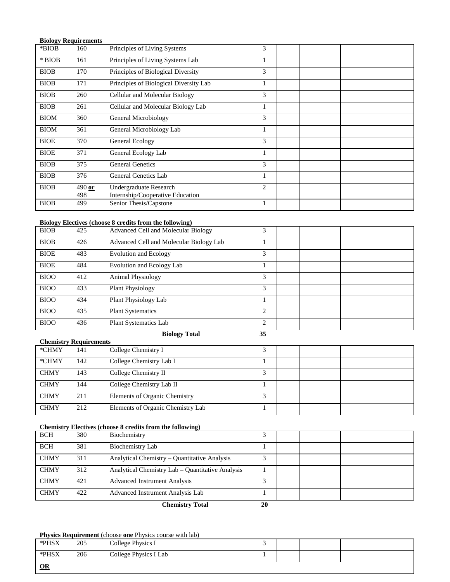|             | <b>Biology Requirements</b> |                                        |                |  |
|-------------|-----------------------------|----------------------------------------|----------------|--|
| *BIOB       | 160                         | Principles of Living Systems           | 3              |  |
| $*$ BIOB    | 161                         | Principles of Living Systems Lab       |                |  |
| <b>BIOB</b> | 170                         | Principles of Biological Diversity     | 3              |  |
| <b>BIOB</b> | 171                         | Principles of Biological Diversity Lab | 1              |  |
| <b>BIOB</b> | 260                         | Cellular and Molecular Biology         | 3              |  |
| <b>BIOB</b> | 261                         | Cellular and Molecular Biology Lab     | 1              |  |
| <b>BIOM</b> | 360                         | General Microbiology                   | 3              |  |
| <b>BIOM</b> | 361                         | General Microbiology Lab               | 1              |  |
| <b>BIOE</b> | 370                         | General Ecology                        | 3              |  |
| <b>BIOE</b> | 371                         | General Ecology Lab                    | 1              |  |
| <b>BIOB</b> | 375                         | <b>General Genetics</b>                | 3              |  |
| <b>BIOB</b> | 376                         | General Genetics Lab                   | 1              |  |
| <b>BIOB</b> | $490$ or                    | Undergraduate Research                 | $\overline{2}$ |  |
|             | 498                         | Internship/Cooperative Education       |                |  |
| <b>BIOB</b> | 499                         | Senior Thesis/Capstone                 |                |  |

### **Biology Electives (choose 8 credits from the following)**

| ື<br><b>BIOB</b> | 425 | $\sim$<br>Advanced Cell and Molecular Biology | 3 |  |  |
|------------------|-----|-----------------------------------------------|---|--|--|
| <b>BIOB</b>      | 426 | Advanced Cell and Molecular Biology Lab       |   |  |  |
| <b>BIOE</b>      | 483 | <b>Evolution and Ecology</b>                  | 3 |  |  |
| <b>BIOE</b>      | 484 | Evolution and Ecology Lab                     |   |  |  |
| <b>BIOO</b>      | 412 | <b>Animal Physiology</b>                      | 3 |  |  |
| <b>BIOO</b>      | 433 | <b>Plant Physiology</b>                       | 3 |  |  |
| <b>BIOO</b>      | 434 | Plant Physiology Lab                          |   |  |  |
| <b>BIOO</b>      | 435 | <b>Plant Systematics</b>                      | 2 |  |  |
| <b>BIOO</b>      | 436 | Plant Systematics Lab                         | 2 |  |  |

## **Biology Total 35**

| <b>Chemistry Requirements</b> |     |                                   |                         |  |  |  |  |
|-------------------------------|-----|-----------------------------------|-------------------------|--|--|--|--|
| *CHMY                         | 141 | College Chemistry I               |                         |  |  |  |  |
| *CHMY                         | 142 | College Chemistry Lab I           |                         |  |  |  |  |
| <b>CHMY</b>                   | 143 | College Chemistry II              | 3                       |  |  |  |  |
| <b>CHMY</b>                   | 144 | College Chemistry Lab II          |                         |  |  |  |  |
| <b>CHMY</b>                   | 211 | Elements of Organic Chemistry     | $\mathbf{\overline{3}}$ |  |  |  |  |
| <b>CHMY</b>                   | 212 | Elements of Organic Chemistry Lab |                         |  |  |  |  |

### **Chemistry Electives (choose 8 credits from the following)**

| <b>BCH</b>  | 380 | Biochemistry                                     |  |  |
|-------------|-----|--------------------------------------------------|--|--|
| <b>BCH</b>  | 381 | Biochemistry Lab                                 |  |  |
| <b>CHMY</b> | 311 | Analytical Chemistry – Quantitative Analysis     |  |  |
| <b>CHMY</b> | 312 | Analytical Chemistry Lab – Quantitative Analysis |  |  |
| <b>CHMY</b> | 421 | <b>Advanced Instrument Analysis</b>              |  |  |
| <b>CHMY</b> | 422 | Advanced Instrument Analysis Lab                 |  |  |

**Chemistry Total 20**

### **Physics Requirement** (choose **one** Physics course with lab)

| $\Omega$ |     |                       |  |  |
|----------|-----|-----------------------|--|--|
| *PHSX    | 206 | College Physics I Lab |  |  |
| *PHSX    | 205 | College Physics I     |  |  |